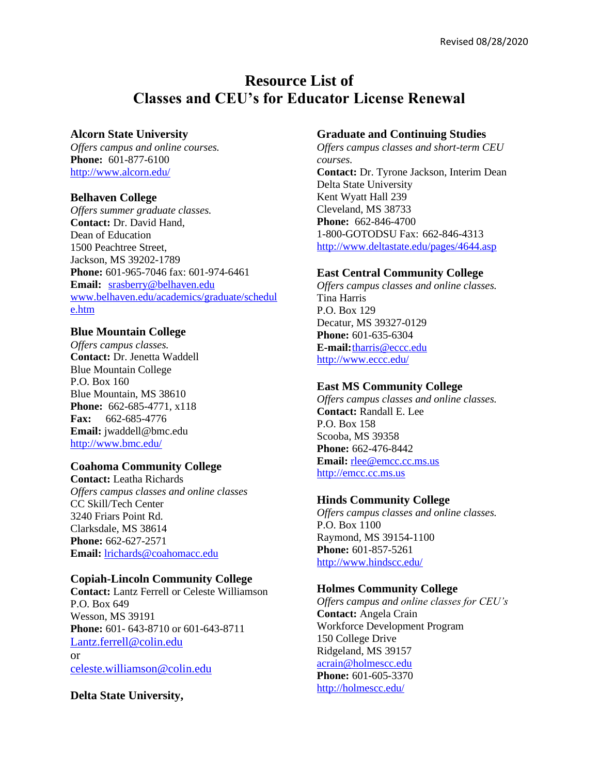# **Resource List of Classes and CEU's for Educator License Renewal**

### **Alcorn State University**

*Offers campus and online courses.* **Phone:** 601-877-6100 <http://www.alcorn.edu/>

#### **Belhaven College**

*Offers summer graduate classes.* **Contact:** Dr. David Hand, Dean of Education 1500 Peachtree Street, Jackson, MS 39202-1789 **Phone:** 601-965-7046 fax: 601-974-6461 **Email:** [srasberry@belhaven.edu](mailto:srasberry@belhaven.edu) [www.belhaven.edu/academics/graduate/schedul](http://www.belhaven.edu/academics/graduate/schedule.htm) [e.htm](http://www.belhaven.edu/academics/graduate/schedule.htm)

#### **Blue Mountain College**

*Offers campus classes.* **Contact:** Dr. Jenetta Waddell Blue Mountain College P.O. Box 160 Blue Mountain, MS 38610 **Phone:** 662-685-4771, x118 **Fax:** 662-685-4776 **Email:** jwaddell@bmc.edu <http://www.bmc.edu/>

# **Coahoma Community College**

**Contact:** Leatha Richards *Offers campus classes and online classes* CC Skill/Tech Center 3240 Friars Point Rd. Clarksdale, MS 38614 **Phone:** 662-627-2571 **Email:** [lrichards@coahomacc.edu](mailto:lrichards@coahomacc.edu)

#### **Copiah-Lincoln Community College**

**Contact:** Lantz Ferrell or Celeste Williamson P.O. Box 649 Wesson, MS 39191 **Phone:** 601- 643-8710 or 601-643-8711 [Lantz.ferrell@colin.edu](mailto:Lantz.ferrell@colin.edu) or [celeste.williamson@colin.edu](mailto:celeste.williamson@colin.edu)

**Delta State University,** 

#### **Graduate and Continuing Studies**

*Offers campus classes and short-term CEU courses.* **Contact:** Dr. Tyrone Jackson, Interim Dean Delta State University Kent Wyatt Hall 239 Cleveland, MS 38733 **Phone:** 662-846-4700 1-800-GOTODSU Fax: 662-846-4313 <http://www.deltastate.edu/pages/4644.asp>

#### **East Central Community College**

*Offers campus classes and online classes.* Tina Harris P.O. Box 129 Decatur, MS 39327-0129 **Phone:** 601-635-6304 **E-mail:**[tharris@eccc.edu](mailto:tharris@eccc.edu)  <http://www.eccc.edu/>

#### **East MS Community College**

*Offers campus classes and online classes.* **Contact:** Randall E. Lee P.O. Box 158 Scooba, MS 39358 **Phone:** 662-476-8442 **Email:** [rlee@emcc.cc.ms.us](mailto:rlee@emcc.cc.ms.us) [http://emcc.cc.ms.us](http://emcc.cc.ms.us/)

#### **Hinds Community College**

*Offers campus classes and online classes.* P.O. Box 1100 Raymond, MS 39154-1100 **Phone:** 601-857-5261 <http://www.hindscc.edu/>

# **Holmes Community College**

*Offers campus and online classes for CEU's* **Contact:** Angela Crain Workforce Development Program 150 College Drive Ridgeland, MS 39157 [acrain@holmescc.edu](mailto:acrain@holmescc.edu) **Phone:** 601-605-3370 <http://holmescc.edu/>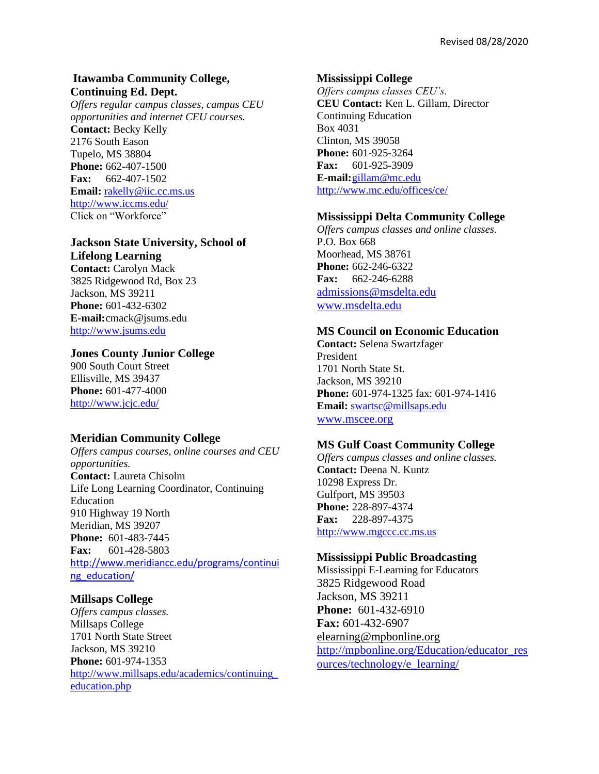# **Itawamba Community College, Continuing Ed. Dept.**

*Offers regular campus classes, campus CEU opportunities and internet CEU courses.* **Contact:** Becky Kelly 2176 South Eason Tupelo, MS 38804 **Phone:** 662-407-1500 **Fax:** 662-407-1502 **Email:** [rakelly@iic.cc.ms.us](mailto:rakelly@iic.cc.ms.us) <http://www.iccms.edu/> Click on "Workforce"

# **Jackson State University, School of**

**Lifelong Learning Contact:** Carolyn Mack 3825 Ridgewood Rd, Box 23 Jackson, MS 39211 **Phone:** 601-432-6302 **E-mail:**cmack@jsums.edu [http://www.jsums.edu](http://www.jsums.edu/)

# **Jones County Junior College**

900 South Court Street Ellisville, MS 39437 **Phone:** 601-477-4000 <http://www.jcjc.edu/>

# **Meridian Community College**

*Offers campus courses, online courses and CEU opportunities.* **Contact:** Laureta Chisolm Life Long Learning Coordinator, Continuing Education 910 Highway 19 North Meridian, MS 39207 **Phone:** 601-483-7445 **Fax:** 601-428-5803 [http://www.meridiancc.edu/programs/continui](http://www.meridiancc.edu/programs/continuing_education/) [ng\\_education/](http://www.meridiancc.edu/programs/continuing_education/)

# **Millsaps College**

*Offers campus classes.* Millsaps College 1701 North State Street Jackson, MS 39210 **Phone:** 601-974-1353 [http://www.millsaps.edu/academics/continuing\\_](http://www.millsaps.edu/academics/continuing_education.php) [education.php](http://www.millsaps.edu/academics/continuing_education.php)

#### **Mississippi College**

*Offers campus classes CEU's.* **CEU Contact:** Ken L. Gillam, Director Continuing Education Box 4031 Clinton, MS 39058 **Phone:** 601-925-3264 **Fax:** 601-925-3909 **E-mail:**[gillam@mc.edu](mailto:gillam@mc.edu) <http://www.mc.edu/offices/ce/>

#### **Mississippi Delta Community College**

*Offers campus classes and online classes.* P.O. Box 668 Moorhead, MS 38761 **Phone:** 662-246-6322 **Fax:** 662-246-6288 [admissions@msdelta.edu](mailto:admissions@msdelta.edu) [www.msdelta.edu](http://www.msdelta.edu/)

# **MS Council on Economic Education**

**Contact:** Selena Swartzfager President 1701 North State St. Jackson, MS 39210 **Phone:** 601-974-1325 fax: 601-974-1416 **Email:** [swartsc@millsaps.edu](mailto:swartsc@millsaps.edu) [www.mscee.org](http://www.mscee.org/)

#### **MS Gulf Coast Community College**

*Offers campus classes and online classes.* **Contact:** Deena N. Kuntz 10298 Express Dr. Gulfport, MS 39503 **Phone:** 228-897-4374 **Fax:** 228-897-4375 [http://www.mgccc.cc.ms.us](http://www.mgccc.cc.ms.us/)

#### **Mississippi Public Broadcasting**

Mississippi E-Learning for Educators 3825 Ridgewood Road Jackson, MS 39211 **Phone:** 601-432-6910 **Fax:** 601-432-6907 [elearning@mpbonline.org](mailto:elearning@mpbonline.org) [http://mpbonline.org/Education/educator\\_res](http://mpbonline.org/Education/educator_resources/technology/e_learning/) [ources/technology/e\\_learning/](http://mpbonline.org/Education/educator_resources/technology/e_learning/)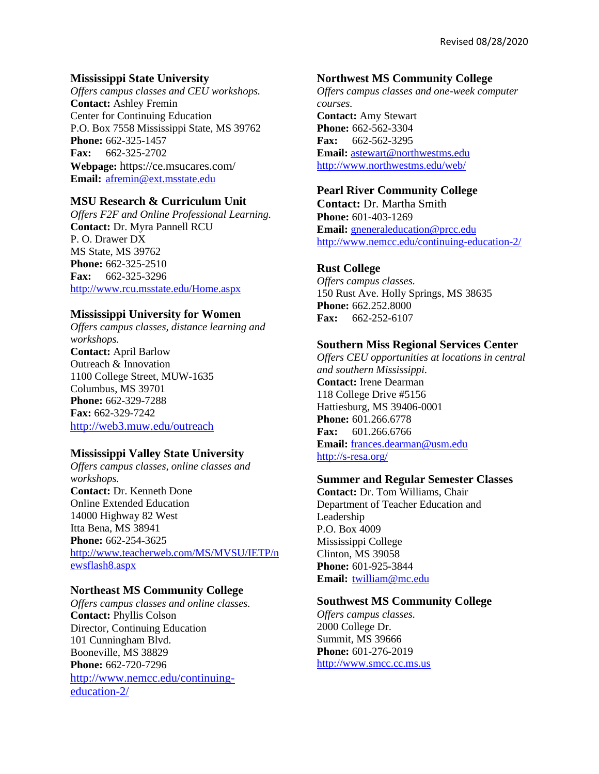# **Mississippi State University**

*Offers campus classes and CEU workshops.* **Contact:** Ashley Fremin Center for Continuing Education P.O. Box 7558 Mississippi State, MS 39762 **Phone:** 662-325-1457 **Fax:** 662-325-2702 **Webpage:** https://ce.msucares.com/ **Email:** [afremin@ext.msstate.edu](mailto:afremin@ext.msstate.edu)

# **MSU Research & Curriculum Unit**

*Offers F2F and Online Professional Learning.* **Contact:** Dr. Myra Pannell RCU P. O. Drawer DX MS State, MS 39762 **Phone:** 662-325-2510 **Fax:** 662-325-3296 <http://www.rcu.msstate.edu/Home.aspx>

# **Mississippi University for Women**

*Offers campus classes, distance learning and workshops.* **Contact:** April Barlow Outreach & Innovation 1100 College Street, MUW-1635 Columbus, MS 39701 **Phone:** 662-329-7288 **Fax:** 662-329-7242 <http://web3.muw.edu/outreach>

# **Mississippi Valley State University**

*Offers campus classes, online classes and workshops.* **Contact:** Dr. Kenneth Done Online Extended Education 14000 Highway 82 West Itta Bena, MS 38941 **Phone:** 662-254-3625 [http://www.teacherweb.com/MS/MVSU/IETP/n](http://www.teacherweb.com/MS/MVSU/IETP/newsflash8.aspx) [ewsflash8.aspx](http://www.teacherweb.com/MS/MVSU/IETP/newsflash8.aspx)

# **Northeast MS Community College**

*Offers campus classes and online classes.* **Contact:** Phyllis Colson Director, Continuing Education 101 Cunningham Blvd. Booneville, MS 38829 **Phone:** 662-720-7296 [http://www.nemcc.edu/continuing](http://www.nemcc.edu/continuing-education-2/)[education-2/](http://www.nemcc.edu/continuing-education-2/)

### **Northwest MS Community College**

*Offers campus classes and one-week computer courses.* **Contact:** Amy Stewart **Phone:** 662-562-3304 **Fax:** 662-562-3295 **Email:** [astewart@northwestms.edu](mailto:astewart@northwestms.edu) <http://www.northwestms.edu/web/>

# **Pearl River Community College**

**Contact:** Dr. Martha Smith **Phone:** 601-403-1269 **Email:** [gneneraleducation@prcc.edu](mailto:gneneraleducation@prcc.edu) <http://www.nemcc.edu/continuing-education-2/>

# **Rust College**

*Offers campus classes.* 150 Rust Ave. Holly Springs, MS 38635 **Phone:** 662.252.8000 **Fax:** 662-252-6107

# **Southern Miss Regional Services Center**

*Offers CEU opportunities at locations in central and southern Mississippi.* **Contact:** Irene Dearman 118 College Drive #5156 Hattiesburg, MS 39406-0001 **Phone:** 601.266.6778 **Fax:** 601.266.6766 **Email:** [frances.dearman@usm.edu](mailto:frances.dearman@usm.edu) <http://s-resa.org/>

#### **Summer and Regular Semester Classes**

**Contact:** Dr. Tom Williams, Chair Department of Teacher Education and Leadership P.O. Box 4009 Mississippi College Clinton, MS 39058 **Phone:** 601-925-3844 **Email:** [twilliam@mc.edu](mailto:twilliam@mc.edu)

### **Southwest MS Community College**

*Offers campus classes.* 2000 College Dr. Summit, MS 39666 **Phone:** 601-276-2019 [http://www.smcc.cc.ms.us](http://www.smcc.cc.ms.us/)